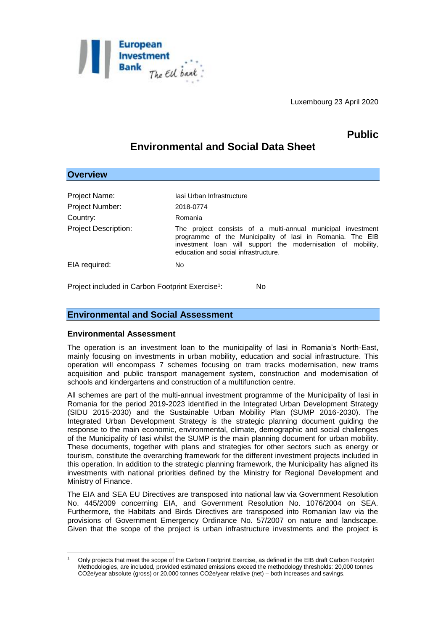

Luxembourg 23 April 2020

## **Public**

# **Environmental and Social Data Sheet**

| <b>Overview</b>             |                                                                                                                                                                                                                                 |
|-----------------------------|---------------------------------------------------------------------------------------------------------------------------------------------------------------------------------------------------------------------------------|
|                             |                                                                                                                                                                                                                                 |
| Project Name:               | lasi Urban Infrastructure                                                                                                                                                                                                       |
| <b>Project Number:</b>      | 2018-0774                                                                                                                                                                                                                       |
| Country:                    | Romania                                                                                                                                                                                                                         |
| <b>Project Description:</b> | The project consists of a multi-annual municipal investment<br>programme of the Municipality of lasi in Romania. The EIB<br>investment loan will support the modernisation of mobility,<br>education and social infrastructure. |
| EIA required:               | No.                                                                                                                                                                                                                             |

Project included in Carbon Footprint Exercise<sup>1</sup>: N<sub>0</sub>

## **Environmental and Social Assessment**

#### **Environmental Assessment**

The operation is an investment loan to the municipality of Iasi in Romania's North-East, mainly focusing on investments in urban mobility, education and social infrastructure. This operation will encompass 7 schemes focusing on tram tracks modernisation, new trams acquisition and public transport management system, construction and modernisation of schools and kindergartens and construction of a multifunction centre.

All schemes are part of the multi-annual investment programme of the Municipality of Iasi in Romania for the period 2019-2023 identified in the Integrated Urban Development Strategy (SIDU 2015-2030) and the Sustainable Urban Mobility Plan (SUMP 2016-2030). The Integrated Urban Development Strategy is the strategic planning document guiding the response to the main economic, environmental, climate, demographic and social challenges of the Municipality of Iasi whilst the SUMP is the main planning document for urban mobility. These documents, together with plans and strategies for other sectors such as energy or tourism, constitute the overarching framework for the different investment projects included in this operation. In addition to the strategic planning framework, the Municipality has aligned its investments with national priorities defined by the Ministry for Regional Development and Ministry of Finance.

The EIA and SEA EU Directives are transposed into national law via Government Resolution No. 445/2009 concerning EIA, and Government Resolution No. 1076/2004 on SEA. Furthermore, the Habitats and Birds Directives are transposed into Romanian law via the provisions of Government Emergency Ordinance No. 57/2007 on nature and landscape. Given that the scope of the project is urban infrastructure investments and the project is

<sup>&</sup>lt;u>.</u> <sup>1</sup> Only projects that meet the scope of the Carbon Footprint Exercise, as defined in the EIB draft Carbon Footprint Methodologies, are included, provided estimated emissions exceed the methodology thresholds: 20,000 tonnes CO2e/year absolute (gross) or 20,000 tonnes CO2e/year relative (net) – both increases and savings.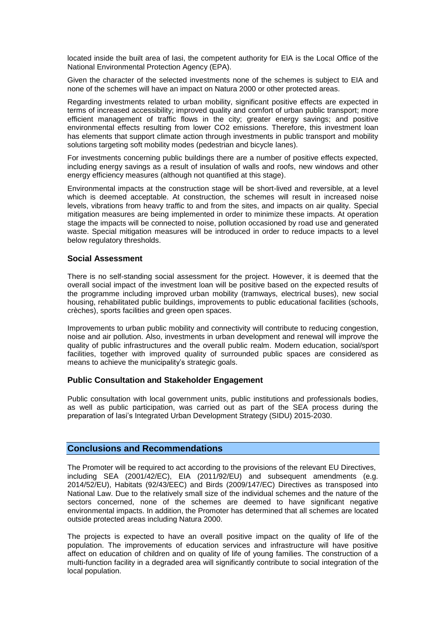located inside the built area of Iasi, the competent authority for EIA is the Local Office of the National Environmental Protection Agency (EPA).

Given the character of the selected investments none of the schemes is subject to EIA and none of the schemes will have an impact on Natura 2000 or other protected areas.

Regarding investments related to urban mobility, significant positive effects are expected in terms of increased accessibility; improved quality and comfort of urban public transport; more efficient management of traffic flows in the city; greater energy savings; and positive environmental effects resulting from lower CO2 emissions. Therefore, this investment loan has elements that support climate action through investments in public transport and mobility solutions targeting soft mobility modes (pedestrian and bicycle lanes).

For investments concerning public buildings there are a number of positive effects expected, including energy savings as a result of insulation of walls and roofs, new windows and other energy efficiency measures (although not quantified at this stage).

Environmental impacts at the construction stage will be short-lived and reversible, at a level which is deemed acceptable. At construction, the schemes will result in increased noise levels, vibrations from heavy traffic to and from the sites, and impacts on air quality. Special mitigation measures are being implemented in order to minimize these impacts. At operation stage the impacts will be connected to noise, pollution occasioned by road use and generated waste. Special mitigation measures will be introduced in order to reduce impacts to a level below regulatory thresholds.

#### **Social Assessment**

There is no self-standing social assessment for the project. However, it is deemed that the overall social impact of the investment loan will be positive based on the expected results of the programme including improved urban mobility (tramways, electrical buses), new social housing, rehabilitated public buildings, improvements to public educational facilities (schools, crèches), sports facilities and green open spaces.

Improvements to urban public mobility and connectivity will contribute to reducing congestion, noise and air pollution. Also, investments in urban development and renewal will improve the quality of public infrastructures and the overall public realm. Modern education, social/sport facilities, together with improved quality of surrounded public spaces are considered as means to achieve the municipality's strategic goals.

#### **Public Consultation and Stakeholder Engagement**

Public consultation with local government units, public institutions and professionals bodies, as well as public participation, was carried out as part of the SEA process during the preparation of Iasi's Integrated Urban Development Strategy (SIDU) 2015-2030.

## **Conclusions and Recommendations**

The Promoter will be required to act according to the provisions of the relevant EU Directives, including SEA (2001/42/EC), EIA (2011/92/EU) and subsequent amendments (e.g. 2014/52/EU), Habitats (92/43/EEC) and Birds (2009/147/EC) Directives as transposed into National Law. Due to the relatively small size of the individual schemes and the nature of the sectors concerned, none of the schemes are deemed to have significant negative environmental impacts. In addition, the Promoter has determined that all schemes are located outside protected areas including Natura 2000.

The projects is expected to have an overall positive impact on the quality of life of the population. The improvements of education services and infrastructure will have positive affect on education of children and on quality of life of young families. The construction of a multi-function facility in a degraded area will significantly contribute to social integration of the local population.